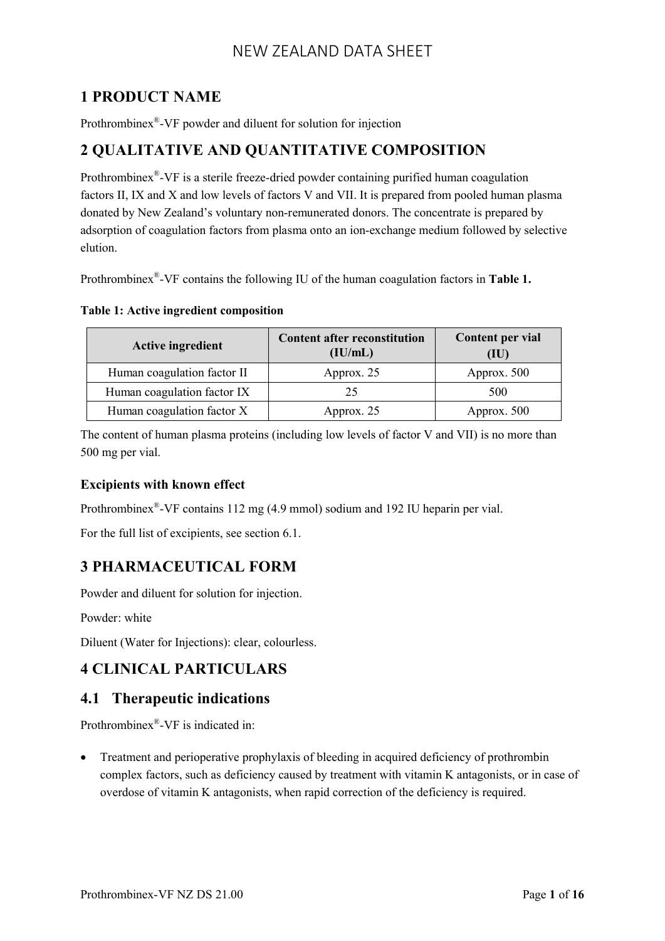# **1 PRODUCT NAME**

Prothrombinex® -VF powder and diluent for solution for injection

## **2 QUALITATIVE AND QUANTITATIVE COMPOSITION**

Prothrombinex<sup>®</sup>-VF is a sterile freeze-dried powder containing purified human coagulation factors II, IX and X and low levels of factors V and VII. It is prepared from pooled human plasma donated by New Zealand's voluntary non-remunerated donors. The concentrate is prepared by adsorption of coagulation factors from plasma onto an ion-exchange medium followed by selective elution.

Prothrombinex® -VF contains the following IU of the human coagulation factors in **Table 1.**

**Table 1: Active ingredient composition**

| <b>Active ingredient</b>    | <b>Content after reconstitution</b><br>(IU/mL) | Content per vial<br>(IU) |
|-----------------------------|------------------------------------------------|--------------------------|
| Human coagulation factor II | Approx. 25                                     | Approx. 500              |
| Human coagulation factor IX | 25                                             | 500                      |
| Human coagulation factor X  | Approx. 25                                     | Approx. 500              |

The content of human plasma proteins (including low levels of factor V and VII) is no more than 500 mg per vial.

## **Excipients with known effect**

Prothrombinex<sup>®</sup>-VF contains 112 mg (4.9 mmol) sodium and 192 IU heparin per vial.

For the full list of excipients, see section 6.1.

# **3 PHARMACEUTICAL FORM**

Powder and diluent for solution for injection.

Powder: white

Diluent (Water for Injections): clear, colourless.

# **4 CLINICAL PARTICULARS**

## **4.1 Therapeutic indications**

Prothrombinex® -VF is indicated in:

• Treatment and perioperative prophylaxis of bleeding in acquired deficiency of prothrombin complex factors, such as deficiency caused by treatment with vitamin K antagonists, or in case of overdose of vitamin K antagonists, when rapid correction of the deficiency is required.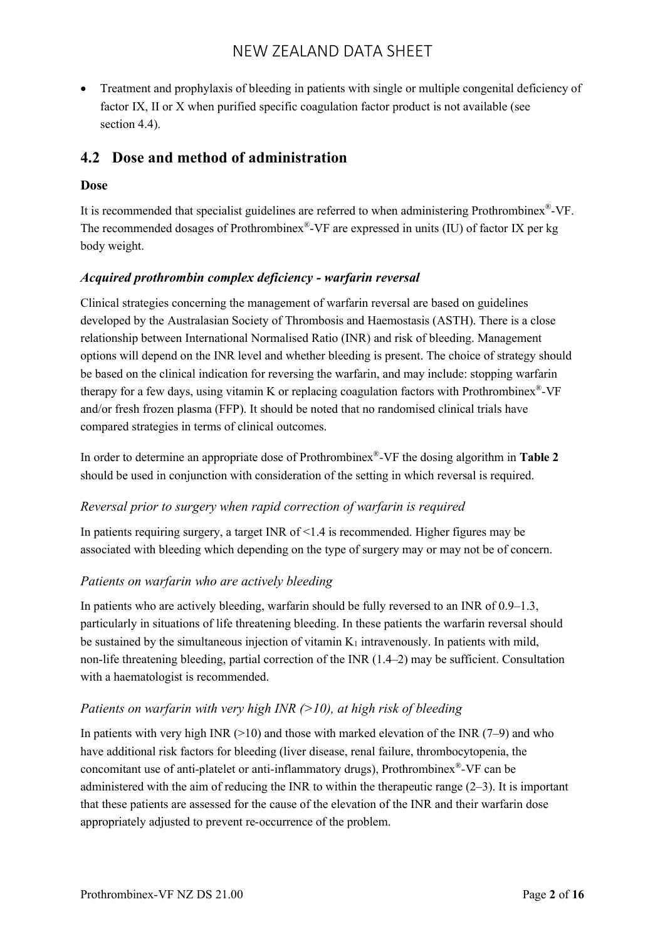Treatment and prophylaxis of bleeding in patients with single or multiple congenital deficiency of factor IX, II or X when purified specific coagulation factor product is not available (see section 4.4).

## **4.2 Dose and method of administration**

#### **Dose**

It is recommended that specialist guidelines are referred to when administering Prothrombinex®-VF. The recommended dosages of Prothrombinex®-VF are expressed in units (IU) of factor IX per kg body weight.

#### *Acquired prothrombin complex deficiency - warfarin reversal*

Clinical strategies concerning the management of warfarin reversal are based on guidelines developed by the Australasian Society of Thrombosis and Haemostasis (ASTH). There is a close relationship between International Normalised Ratio (INR) and risk of bleeding. Management options will depend on the INR level and whether bleeding is present. The choice of strategy should be based on the clinical indication for reversing the warfarin, and may include: stopping warfarin therapy for a few days, using vitamin K or replacing coagulation factors with Prothrombinex®-VF and/or fresh frozen plasma (FFP). It should be noted that no randomised clinical trials have compared strategies in terms of clinical outcomes.

In order to determine an appropriate dose of Prothrombinex® -VF the dosing algorithm in **Table 2** should be used in conjunction with consideration of the setting in which reversal is required.

#### *Reversal prior to surgery when rapid correction of warfarin is required*

In patients requiring surgery, a target INR of  $\leq$ 1.4 is recommended. Higher figures may be associated with bleeding which depending on the type of surgery may or may not be of concern.

## *Patients on warfarin who are actively bleeding*

In patients who are actively bleeding, warfarin should be fully reversed to an INR of 0.9–1.3, particularly in situations of life threatening bleeding. In these patients the warfarin reversal should be sustained by the simultaneous injection of vitamin  $K_1$  intravenously. In patients with mild, non-life threatening bleeding, partial correction of the INR (1.4–2) may be sufficient. Consultation with a haematologist is recommended.

#### *Patients on warfarin with very high INR (>10), at high risk of bleeding*

In patients with very high INR  $(>10)$  and those with marked elevation of the INR  $(7-9)$  and who have additional risk factors for bleeding (liver disease, renal failure, thrombocytopenia, the concomitant use of anti-platelet or anti-inflammatory drugs), Prothrombinex®-VF can be administered with the aim of reducing the INR to within the therapeutic range  $(2-3)$ . It is important that these patients are assessed for the cause of the elevation of the INR and their warfarin dose appropriately adjusted to prevent re-occurrence of the problem.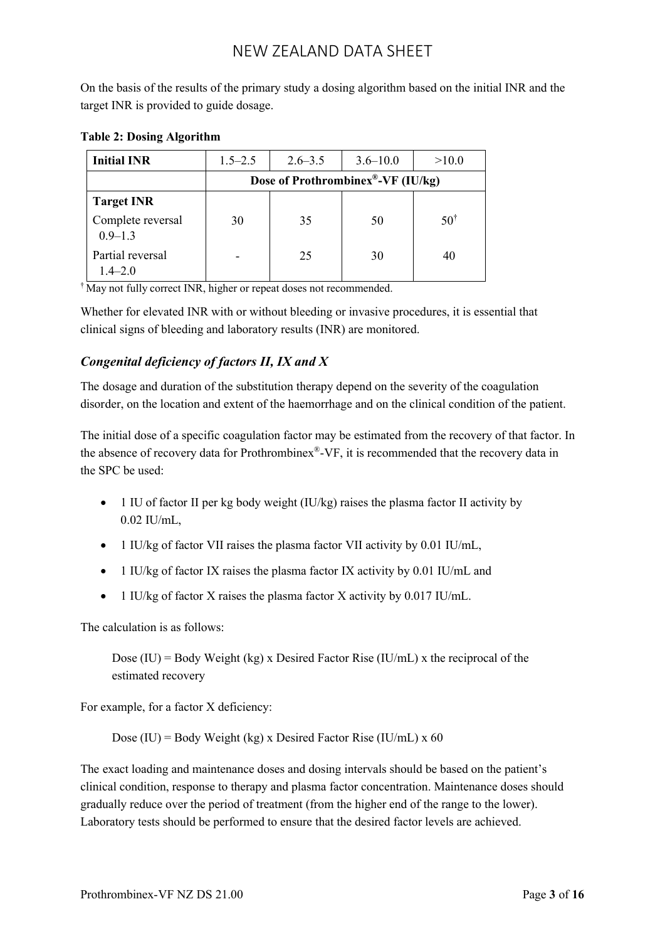On the basis of the results of the primary study a dosing algorithm based on the initial INR and the target INR is provided to guide dosage.

| <b>Initial INR</b>               | $1.5 - 2.5$                       | $2.6 - 3.5$ | $3.6 - 10.0$ | >10.0          |
|----------------------------------|-----------------------------------|-------------|--------------|----------------|
|                                  | Dose of Prothrombinex®-VF (IU/kg) |             |              |                |
| <b>Target INR</b>                |                                   |             |              |                |
| Complete reversal<br>$0.9 - 1.3$ | 30                                | 35          | 50           | $50^{\dagger}$ |
| Partial reversal<br>$1.4 - 2.0$  |                                   | 25          | 30           | 40             |

#### **Table 2: Dosing Algorithm**

† May not fully correct INR, higher or repeat doses not recommended.

Whether for elevated INR with or without bleeding or invasive procedures, it is essential that clinical signs of bleeding and laboratory results (INR) are monitored.

## *Congenital deficiency of factors II, IX and X*

The dosage and duration of the substitution therapy depend on the severity of the coagulation disorder, on the location and extent of the haemorrhage and on the clinical condition of the patient.

The initial dose of a specific coagulation factor may be estimated from the recovery of that factor. In the absence of recovery data for Prothrombinex®-VF, it is recommended that the recovery data in the SPC be used:

- $\bullet$  1 IU of factor II per kg body weight (IU/kg) raises the plasma factor II activity by 0.02 IU/mL,
- 1 IU/kg of factor VII raises the plasma factor VII activity by 0.01 IU/mL,
- $\bullet$  1 IU/kg of factor IX raises the plasma factor IX activity by 0.01 IU/mL and
- 1 IU/kg of factor X raises the plasma factor X activity by 0.017 IU/mL.

The calculation is as follows:

Dose  $(IU)$  = Body Weight (kg) x Desired Factor Rise  $(IU/mL)$  x the reciprocal of the estimated recovery

For example, for a factor X deficiency:

Dose (IU) = Body Weight (kg) x Desired Factor Rise (IU/mL) x 60

The exact loading and maintenance doses and dosing intervals should be based on the patient's clinical condition, response to therapy and plasma factor concentration. Maintenance doses should gradually reduce over the period of treatment (from the higher end of the range to the lower). Laboratory tests should be performed to ensure that the desired factor levels are achieved.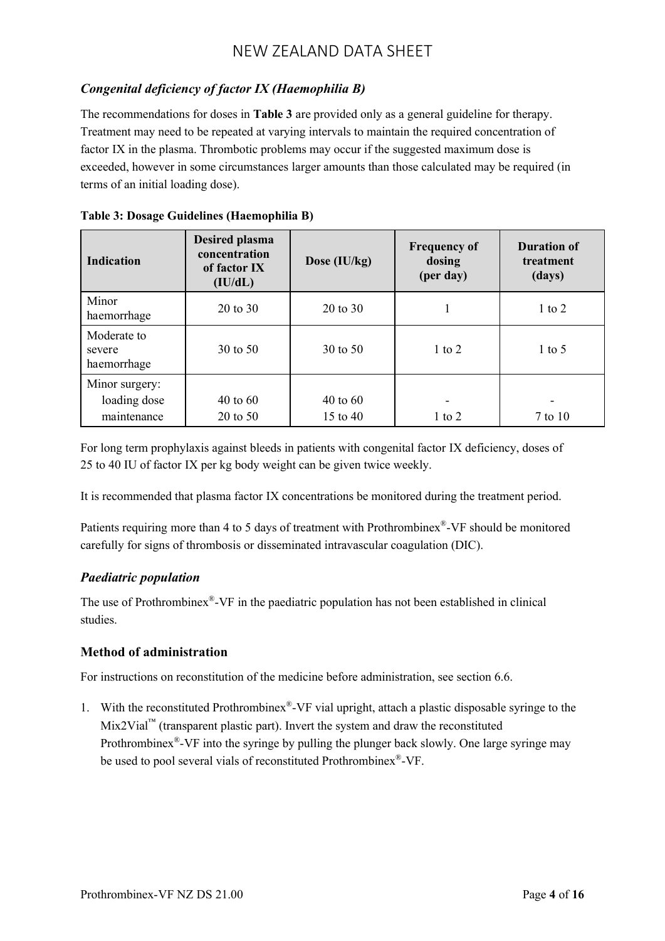## *Congenital deficiency of factor IX (Haemophilia B)*

The recommendations for doses in **Table 3** are provided only as a general guideline for therapy. Treatment may need to be repeated at varying intervals to maintain the required concentration of factor IX in the plasma. Thrombotic problems may occur if the suggested maximum dose is exceeded, however in some circumstances larger amounts than those calculated may be required (in terms of an initial loading dose).

| <b>Indication</b>                             | <b>Desired plasma</b><br>concentration<br>of factor IX<br>(IU/dL) | Dose $(IU/kg)$                    | <b>Frequency of</b><br>dosing<br>(per day) | <b>Duration of</b><br>treatment<br>(days) |
|-----------------------------------------------|-------------------------------------------------------------------|-----------------------------------|--------------------------------------------|-------------------------------------------|
| Minor<br>haemorrhage                          | $20 \text{ to } 30$                                               | $20 \text{ to } 30$               | 1                                          | 1 to 2                                    |
| Moderate to<br>severe<br>haemorrhage          | $30 \text{ to } 50$                                               | $30 \text{ to } 50$               | 1 to 2                                     | $1 \text{ to } 5$                         |
| Minor surgery:<br>loading dose<br>maintenance | $40 \text{ to } 60$<br>$20 \text{ to } 50$                        | $40 \text{ to } 60$<br>15 to $40$ | $1$ to $2$                                 | 7 to 10                                   |

For long term prophylaxis against bleeds in patients with congenital factor IX deficiency, doses of 25 to 40 IU of factor IX per kg body weight can be given twice weekly.

It is recommended that plasma factor IX concentrations be monitored during the treatment period.

Patients requiring more than 4 to 5 days of treatment with Prothrombinex®-VF should be monitored carefully for signs of thrombosis or disseminated intravascular coagulation (DIC).

## *Paediatric population*

The use of Prothrombinex<sup>®</sup>-VF in the paediatric population has not been established in clinical studies.

## **Method of administration**

For instructions on reconstitution of the medicine before administration, see section 6.6.

1. With the reconstituted Prothrombinex® -VF vial upright, attach a plastic disposable syringe to the  $Mix2ViaI<sup>™</sup>$  (transparent plastic part). Invert the system and draw the reconstituted Prothrombinex<sup>®</sup>-VF into the syringe by pulling the plunger back slowly. One large syringe may be used to pool several vials of reconstituted Prothrombinex®-VF.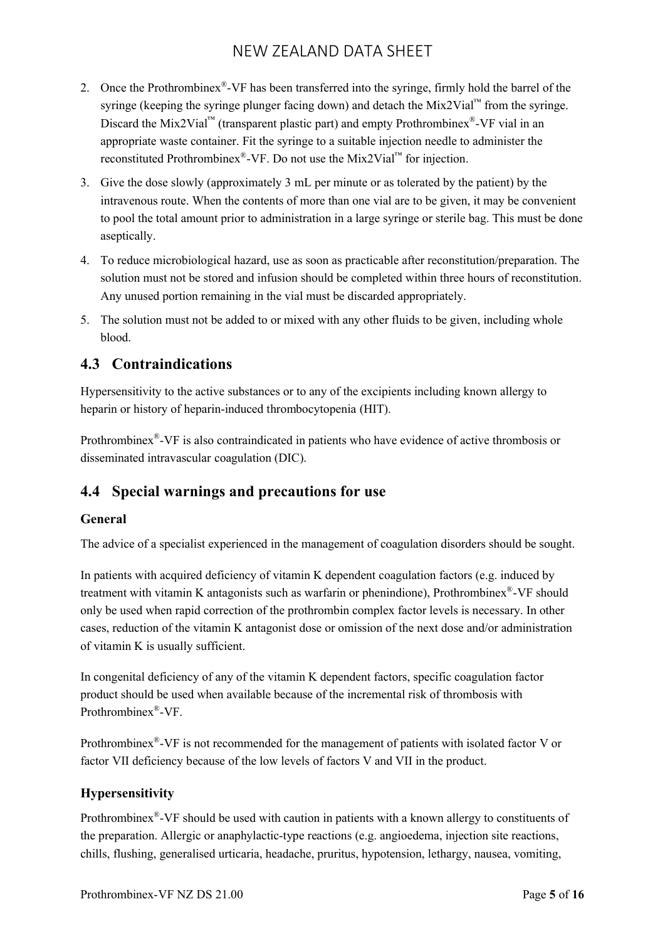- 2. Once the Prothrombinex<sup>®</sup>-VF has been transferred into the syringe, firmly hold the barrel of the syringe (keeping the syringe plunger facing down) and detach the Mix2Vial<sup>™</sup> from the syringe. Discard the Mix2Vial<sup>™</sup> (transparent plastic part) and empty Prothrombinex<sup>®</sup>-VF vial in an appropriate waste container. Fit the syringe to a suitable injection needle to administer the reconstituted Prothrombinex<sup>®</sup>-VF. Do not use the Mix2Vial<sup>™</sup> for injection.
- 3. Give the dose slowly (approximately 3 mL per minute or as tolerated by the patient) by the intravenous route. When the contents of more than one vial are to be given, it may be convenient to pool the total amount prior to administration in a large syringe or sterile bag. This must be done aseptically.
- 4. To reduce microbiological hazard, use as soon as practicable after reconstitution/preparation. The solution must not be stored and infusion should be completed within three hours of reconstitution. Any unused portion remaining in the vial must be discarded appropriately.
- 5. The solution must not be added to or mixed with any other fluids to be given, including whole blood.

## **4.3 Contraindications**

Hypersensitivity to the active substances or to any of the excipients including known allergy to heparin or history of heparin-induced thrombocytopenia (HIT).

Prothrombinex®-VF is also contraindicated in patients who have evidence of active thrombosis or disseminated intravascular coagulation (DIC).

# **4.4 Special warnings and precautions for use**

## **General**

The advice of a specialist experienced in the management of coagulation disorders should be sought.

In patients with acquired deficiency of vitamin K dependent coagulation factors (e.g. induced by treatment with vitamin K antagonists such as warfarin or phenindione), Prothrombinex®-VF should only be used when rapid correction of the prothrombin complex factor levels is necessary. In other cases, reduction of the vitamin K antagonist dose or omission of the next dose and/or administration of vitamin K is usually sufficient.

In congenital deficiency of any of the vitamin K dependent factors, specific coagulation factor product should be used when available because of the incremental risk of thrombosis with Prothrombinex® -VF.

Prothrombinex<sup>®</sup>-VF is not recommended for the management of patients with isolated factor V or factor VII deficiency because of the low levels of factors V and VII in the product.

## **Hypersensitivity**

Prothrombinex®-VF should be used with caution in patients with a known allergy to constituents of the preparation. Allergic or anaphylactic-type reactions (e.g. angioedema, injection site reactions, chills, flushing, generalised urticaria, headache, pruritus, hypotension, lethargy, nausea, vomiting,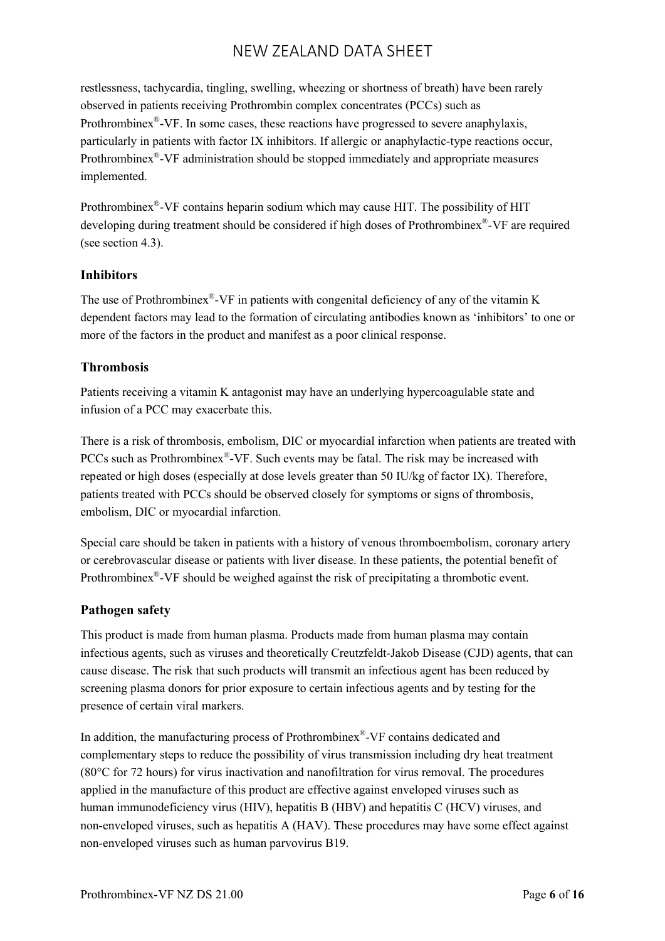restlessness, tachycardia, tingling, swelling, wheezing or shortness of breath) have been rarely observed in patients receiving Prothrombin complex concentrates (PCCs) such as Prothrombinex<sup>®</sup>-VF. In some cases, these reactions have progressed to severe anaphylaxis, particularly in patients with factor IX inhibitors. If allergic or anaphylactic-type reactions occur, Prothrombinex<sup>®</sup>-VF administration should be stopped immediately and appropriate measures implemented.

Prothrombinex®-VF contains heparin sodium which may cause HIT. The possibility of HIT developing during treatment should be considered if high doses of Prothrombinex® -VF are required (see section 4.3).

#### **Inhibitors**

The use of Prothrombinex $^{\circledast}$ -VF in patients with congenital deficiency of any of the vitamin K dependent factors may lead to the formation of circulating antibodies known as 'inhibitors' to one or more of the factors in the product and manifest as a poor clinical response.

#### **Thrombosis**

Patients receiving a vitamin K antagonist may have an underlying hypercoagulable state and infusion of a PCC may exacerbate this.

There is a risk of thrombosis, embolism, DIC or myocardial infarction when patients are treated with PCCs such as Prothrombinex®-VF. Such events may be fatal. The risk may be increased with repeated or high doses (especially at dose levels greater than 50 IU/kg of factor IX). Therefore, patients treated with PCCs should be observed closely for symptoms or signs of thrombosis, embolism, DIC or myocardial infarction.

Special care should be taken in patients with a history of venous thromboembolism, coronary artery or cerebrovascular disease or patients with liver disease. In these patients, the potential benefit of Prothrombinex®-VF should be weighed against the risk of precipitating a thrombotic event.

## **Pathogen safety**

This product is made from human plasma. Products made from human plasma may contain infectious agents, such as viruses and theoretically Creutzfeldt-Jakob Disease (CJD) agents, that can cause disease. The risk that such products will transmit an infectious agent has been reduced by screening plasma donors for prior exposure to certain infectious agents and by testing for the presence of certain viral markers.

In addition, the manufacturing process of Prothrombinex® -VF contains dedicated and complementary steps to reduce the possibility of virus transmission including dry heat treatment (80°C for 72 hours) for virus inactivation and nanofiltration for virus removal. The procedures applied in the manufacture of this product are effective against enveloped viruses such as human immunodeficiency virus (HIV), hepatitis B (HBV) and hepatitis C (HCV) viruses, and non-enveloped viruses, such as hepatitis A (HAV). These procedures may have some effect against non-enveloped viruses such as human parvovirus B19.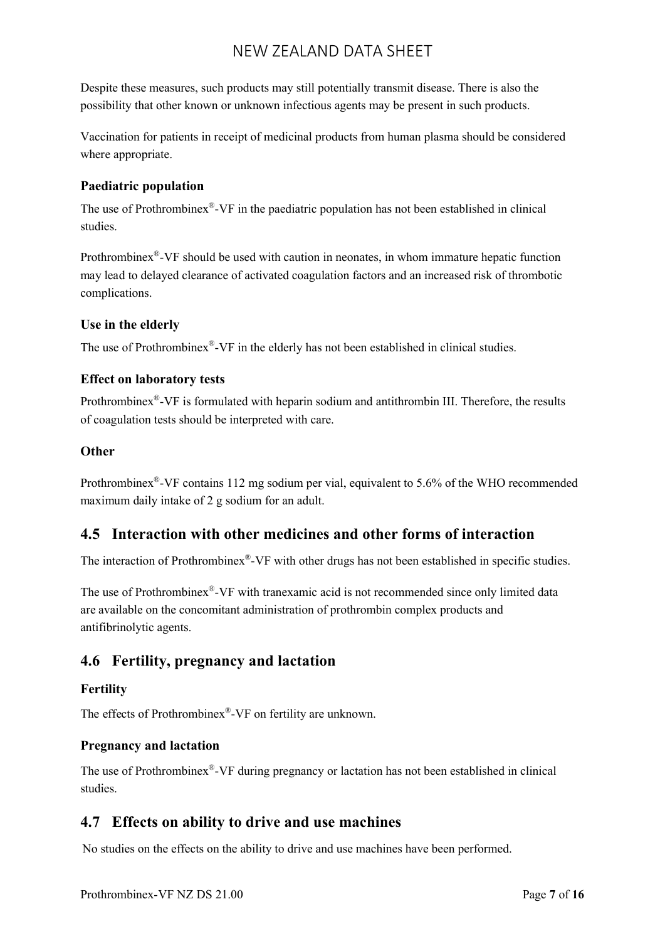Despite these measures, such products may still potentially transmit disease. There is also the possibility that other known or unknown infectious agents may be present in such products.

Vaccination for patients in receipt of medicinal products from human plasma should be considered where appropriate.

## **Paediatric population**

The use of Prothrombinex<sup>®</sup>-VF in the paediatric population has not been established in clinical studies.

Prothrombinex<sup>®</sup>-VF should be used with caution in neonates, in whom immature hepatic function may lead to delayed clearance of activated coagulation factors and an increased risk of thrombotic complications.

#### **Use in the elderly**

The use of Prothrombinex®-VF in the elderly has not been established in clinical studies.

#### **Effect on laboratory tests**

Prothrombinex<sup>®</sup>-VF is formulated with heparin sodium and antithrombin III. Therefore, the results of coagulation tests should be interpreted with care.

#### **Other**

Prothrombinex®-VF contains 112 mg sodium per vial, equivalent to 5.6% of the WHO recommended maximum daily intake of 2 g sodium for an adult.

## **4.5 Interaction with other medicines and other forms of interaction**

The interaction of Prothrombinex®-VF with other drugs has not been established in specific studies.

The use of Prothrombinex®-VF with tranexamic acid is not recommended since only limited data are available on the concomitant administration of prothrombin complex products and antifibrinolytic agents.

## **4.6 Fertility, pregnancy and lactation**

#### **Fertility**

The effects of Prothrombinex® -VF on fertility are unknown.

#### **Pregnancy and lactation**

The use of Prothrombinex® -VF during pregnancy or lactation has not been established in clinical studies.

## **4.7 Effects on ability to drive and use machines**

No studies on the effects on the ability to drive and use machines have been performed.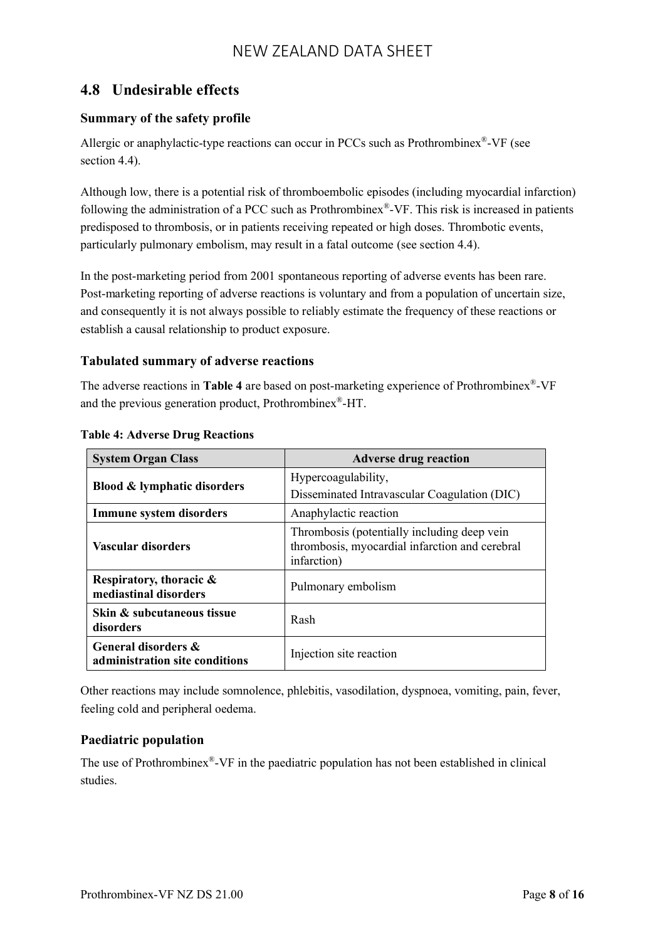## **4.8 Undesirable effects**

## **Summary of the safety profile**

Allergic or anaphylactic-type reactions can occur in PCCs such as Prothrombinex®-VF (see section 4.4).

Although low, there is a potential risk of thromboembolic episodes (including myocardial infarction) following the administration of a PCC such as Prothrombinex® -VF. This risk is increased in patients predisposed to thrombosis, or in patients receiving repeated or high doses. Thrombotic events, particularly pulmonary embolism, may result in a fatal outcome (see section 4.4).

In the post-marketing period from 2001 spontaneous reporting of adverse events has been rare. Post-marketing reporting of adverse reactions is voluntary and from a population of uncertain size, and consequently it is not always possible to reliably estimate the frequency of these reactions or establish a causal relationship to product exposure.

#### **Tabulated summary of adverse reactions**

The adverse reactions in **Table 4** are based on post-marketing experience of Prothrombinex® -VF and the previous generation product, Prothrombinex®-HT.

| <b>System Organ Class</b>                             | <b>Adverse drug reaction</b>                                                                                 |
|-------------------------------------------------------|--------------------------------------------------------------------------------------------------------------|
| <b>Blood &amp; lymphatic disorders</b>                | Hypercoagulability,                                                                                          |
|                                                       | Disseminated Intravascular Coagulation (DIC)                                                                 |
| Immune system disorders                               | Anaphylactic reaction                                                                                        |
| Vascular disorders                                    | Thrombosis (potentially including deep vein<br>thrombosis, myocardial infarction and cerebral<br>infarction) |
| Respiratory, thoracic &<br>mediastinal disorders      | Pulmonary embolism                                                                                           |
| Skin & subcutaneous tissue<br>disorders               | Rash                                                                                                         |
| General disorders &<br>administration site conditions | Injection site reaction                                                                                      |

#### **Table 4: Adverse Drug Reactions**

Other reactions may include somnolence, phlebitis, vasodilation, dyspnoea, vomiting, pain, fever, feeling cold and peripheral oedema.

## **Paediatric population**

The use of Prothrombinex<sup>®</sup>-VF in the paediatric population has not been established in clinical studies.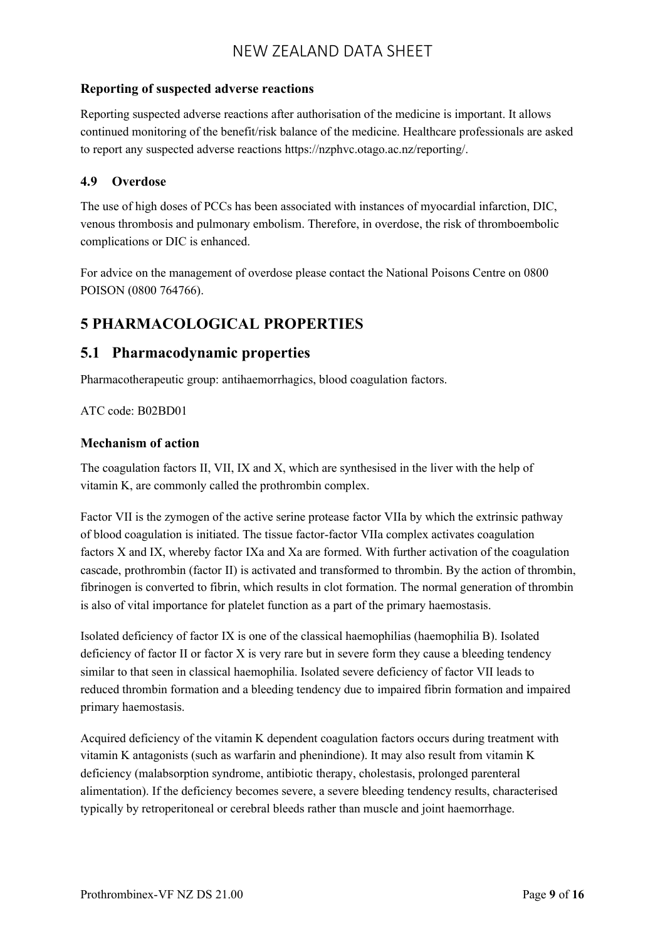#### **Reporting of suspected adverse reactions**

Reporting suspected adverse reactions after authorisation of the medicine is important. It allows continued monitoring of the benefit/risk balance of the medicine. Healthcare professionals are asked to report any suspected adverse reactions [https://nzphvc.otago.ac.nz/reporting/.](https://nzphvc.otago.ac.nz/reporting/)

#### **4.9 Overdose**

The use of high doses of PCCs has been associated with instances of myocardial infarction, DIC, venous thrombosis and pulmonary embolism. Therefore, in overdose, the risk of thromboembolic complications or DIC is enhanced.

For advice on the management of overdose please contact the National Poisons Centre on 0800 POISON (0800 764766).

## **5 PHARMACOLOGICAL PROPERTIES**

## **5.1 Pharmacodynamic properties**

Pharmacotherapeutic group: antihaemorrhagics, blood coagulation factors.

#### ATC code: B02BD01

#### **Mechanism of action**

The coagulation factors II, VII, IX and X, which are synthesised in the liver with the help of vitamin K, are commonly called the prothrombin complex.

Factor VII is the zymogen of the active serine protease factor VIIa by which the extrinsic pathway of blood coagulation is initiated. The tissue factor-factor VIIa complex activates coagulation factors X and IX, whereby factor IXa and Xa are formed. With further activation of the coagulation cascade, prothrombin (factor II) is activated and transformed to thrombin. By the action of thrombin, fibrinogen is converted to fibrin, which results in clot formation. The normal generation of thrombin is also of vital importance for platelet function as a part of the primary haemostasis.

Isolated deficiency of factor IX is one of the classical haemophilias (haemophilia B). Isolated deficiency of factor II or factor X is very rare but in severe form they cause a bleeding tendency similar to that seen in classical haemophilia. Isolated severe deficiency of factor VII leads to reduced thrombin formation and a bleeding tendency due to impaired fibrin formation and impaired primary haemostasis.

Acquired deficiency of the vitamin K dependent coagulation factors occurs during treatment with vitamin K antagonists (such as warfarin and phenindione). It may also result from vitamin K deficiency (malabsorption syndrome, antibiotic therapy, cholestasis, prolonged parenteral alimentation). If the deficiency becomes severe, a severe bleeding tendency results, characterised typically by retroperitoneal or cerebral bleeds rather than muscle and joint haemorrhage.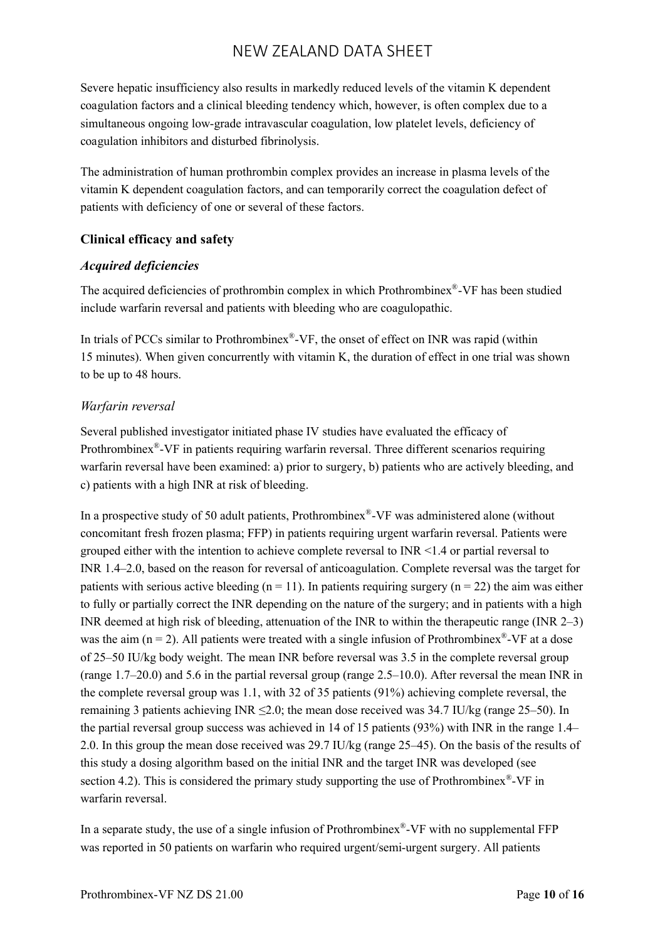Severe hepatic insufficiency also results in markedly reduced levels of the vitamin K dependent coagulation factors and a clinical bleeding tendency which, however, is often complex due to a simultaneous ongoing low-grade intravascular coagulation, low platelet levels, deficiency of coagulation inhibitors and disturbed fibrinolysis.

The administration of human prothrombin complex provides an increase in plasma levels of the vitamin K dependent coagulation factors, and can temporarily correct the coagulation defect of patients with deficiency of one or several of these factors.

## **Clinical efficacy and safety**

#### *Acquired deficiencies*

The acquired deficiencies of prothrombin complex in which Prothrombinex® -VF has been studied include warfarin reversal and patients with bleeding who are coagulopathic.

In trials of PCCs similar to Prothrombinex®-VF, the onset of effect on INR was rapid (within 15 minutes). When given concurrently with vitamin K, the duration of effect in one trial was shown to be up to 48 hours.

## *Warfarin reversal*

Several published investigator initiated phase IV studies have evaluated the efficacy of Prothrombinex®-VF in patients requiring warfarin reversal. Three different scenarios requiring warfarin reversal have been examined: a) prior to surgery, b) patients who are actively bleeding, and c) patients with a high INR at risk of bleeding.

In a prospective study of 50 adult patients, Prothrombinex®-VF was administered alone (without concomitant fresh frozen plasma; FFP) in patients requiring urgent warfarin reversal. Patients were grouped either with the intention to achieve complete reversal to INR <1.4 or partial reversal to INR 1.4–2.0, based on the reason for reversal of anticoagulation. Complete reversal was the target for patients with serious active bleeding ( $n = 11$ ). In patients requiring surgery ( $n = 22$ ) the aim was either to fully or partially correct the INR depending on the nature of the surgery; and in patients with a high INR deemed at high risk of bleeding, attenuation of the INR to within the therapeutic range (INR 2–3) was the aim  $(n = 2)$ . All patients were treated with a single infusion of Prothrombinex<sup>®</sup>-VF at a dose of 25–50 IU/kg body weight. The mean INR before reversal was 3.5 in the complete reversal group (range 1.7–20.0) and 5.6 in the partial reversal group (range 2.5–10.0). After reversal the mean INR in the complete reversal group was 1.1, with 32 of 35 patients (91%) achieving complete reversal, the remaining 3 patients achieving INR  $\leq$ 2.0; the mean dose received was 34.7 IU/kg (range 25–50). In the partial reversal group success was achieved in 14 of 15 patients (93%) with INR in the range 1.4– 2.0. In this group the mean dose received was 29.7 IU/kg (range 25–45). On the basis of the results of this study a dosing algorithm based on the initial INR and the target INR was developed (see section 4.2). This is considered the primary study supporting the use of Prothrombinex $^{\circledast}$ -VF in warfarin reversal.

In a separate study, the use of a single infusion of Prothrombinex<sup>®</sup>-VF with no supplemental FFP was reported in 50 patients on warfarin who required urgent/semi-urgent surgery. All patients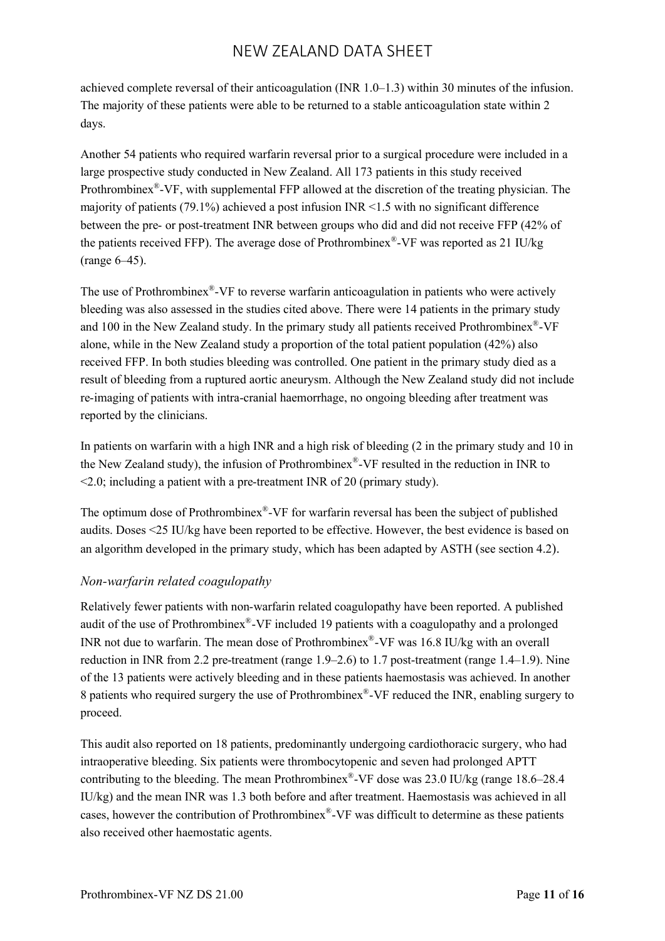achieved complete reversal of their anticoagulation (INR 1.0–1.3) within 30 minutes of the infusion. The majority of these patients were able to be returned to a stable anticoagulation state within 2 days.

Another 54 patients who required warfarin reversal prior to a surgical procedure were included in a large prospective study conducted in New Zealand. All 173 patients in this study received Prothrombinex<sup>®</sup>-VF, with supplemental FFP allowed at the discretion of the treating physician. The majority of patients  $(79.1\%)$  achieved a post infusion INR <1.5 with no significant difference between the pre- or post-treatment INR between groups who did and did not receive FFP (42% of the patients received FFP). The average dose of Prothrombinex®-VF was reported as 21 IU/kg (range 6–45).

The use of Prothrombinex®-VF to reverse warfarin anticoagulation in patients who were actively bleeding was also assessed in the studies cited above. There were 14 patients in the primary study and 100 in the New Zealand study. In the primary study all patients received Prothrombinex®-VF alone, while in the New Zealand study a proportion of the total patient population (42%) also received FFP. In both studies bleeding was controlled. One patient in the primary study died as a result of bleeding from a ruptured aortic aneurysm. Although the New Zealand study did not include re-imaging of patients with intra-cranial haemorrhage, no ongoing bleeding after treatment was reported by the clinicians.

In patients on warfarin with a high INR and a high risk of bleeding (2 in the primary study and 10 in the New Zealand study), the infusion of Prothrombinex $^{\circledast}$ -VF resulted in the reduction in INR to <2.0; including a patient with a pre-treatment INR of 20 (primary study).

The optimum dose of Prothrombinex®-VF for warfarin reversal has been the subject of published audits. Doses <25 IU/kg have been reported to be effective. However, the best evidence is based on an algorithm developed in the primary study, which has been adapted by ASTH (see section 4.2).

## *Non-warfarin related coagulopathy*

Relatively fewer patients with non-warfarin related coagulopathy have been reported. A published audit of the use of Prothrombinex®-VF included 19 patients with a coagulopathy and a prolonged INR not due to warfarin. The mean dose of Prothrombinex® -VF was 16.8 IU/kg with an overall reduction in INR from 2.2 pre-treatment (range 1.9–2.6) to 1.7 post-treatment (range 1.4–1.9). Nine of the 13 patients were actively bleeding and in these patients haemostasis was achieved. In another 8 patients who required surgery the use of Prothrombinex® -VF reduced the INR, enabling surgery to proceed.

This audit also reported on 18 patients, predominantly undergoing cardiothoracic surgery, who had intraoperative bleeding. Six patients were thrombocytopenic and seven had prolonged APTT contributing to the bleeding. The mean Prothrombinex<sup>®</sup>-VF dose was 23.0 IU/kg (range 18.6–28.4 IU/kg) and the mean INR was 1.3 both before and after treatment. Haemostasis was achieved in all cases, however the contribution of Prothrombinex® -VF was difficult to determine as these patients also received other haemostatic agents.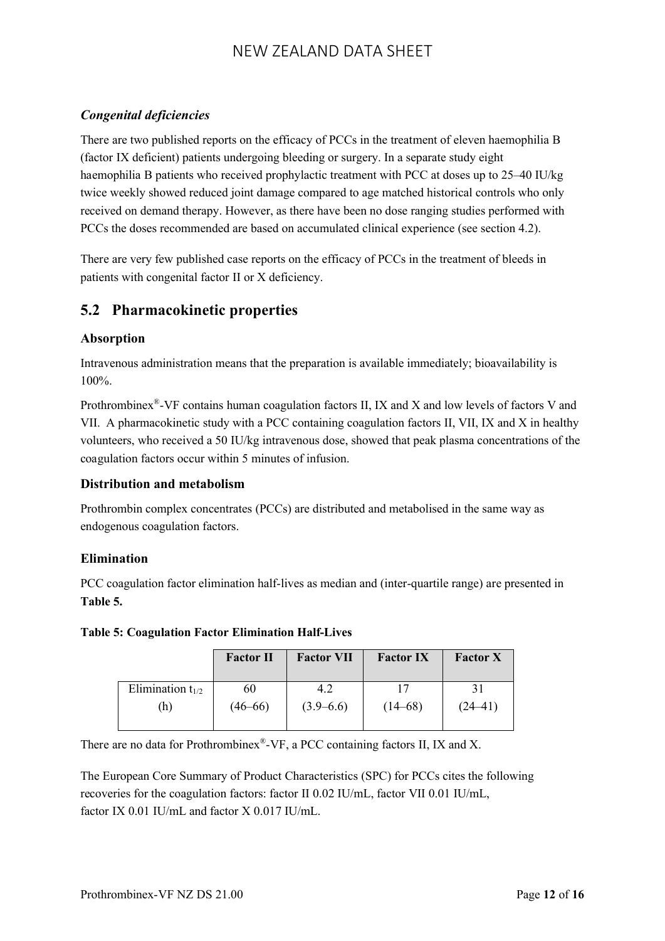## *Congenital deficiencies*

There are two published reports on the efficacy of PCCs in the treatment of eleven haemophilia B (factor IX deficient) patients undergoing bleeding or surgery. In a separate study eight haemophilia B patients who received prophylactic treatment with PCC at doses up to 25–40 IU/kg twice weekly showed reduced joint damage compared to age matched historical controls who only received on demand therapy. However, as there have been no dose ranging studies performed with PCCs the doses recommended are based on accumulated clinical experience (see section 4.2).

There are very few published case reports on the efficacy of PCCs in the treatment of bleeds in patients with congenital factor II or X deficiency.

## **5.2 Pharmacokinetic properties**

#### **Absorption**

Intravenous administration means that the preparation is available immediately; bioavailability is 100%.

Prothrombinex®-VF contains human coagulation factors II, IX and X and low levels of factors V and VII. A pharmacokinetic study with a PCC containing coagulation factors II, VII, IX and X in healthy volunteers, who received a 50 IU/kg intravenous dose, showed that peak plasma concentrations of the coagulation factors occur within 5 minutes of infusion.

## **Distribution and metabolism**

Prothrombin complex concentrates (PCCs) are distributed and metabolised in the same way as endogenous coagulation factors.

## **Elimination**

PCC coagulation factor elimination half-lives as median and (inter-quartile range) are presented in **Table 5.**

#### **Table 5: Coagulation Factor Elimination Half-Lives**

|                       | <b>Factor II</b> | <b>Factor VII</b> | <b>Factor IX</b> | <b>Factor X</b> |
|-----------------------|------------------|-------------------|------------------|-----------------|
| Elimination $t_{1/2}$ | 60               | 4.2               |                  |                 |
| (h)                   | $(46 - 66)$      | $(3.9 - 6.6)$     | $(14 - 68)$      | $(24 - 41)$     |

There are no data for Prothrombinex $^{\circledast}$ -VF, a PCC containing factors II, IX and X.

The European Core Summary of Product Characteristics (SPC) for PCCs cites the following recoveries for the coagulation factors: factor II 0.02 IU/mL, factor VII 0.01 IU/mL, factor IX 0.01 IU/mL and factor X 0.017 IU/mL.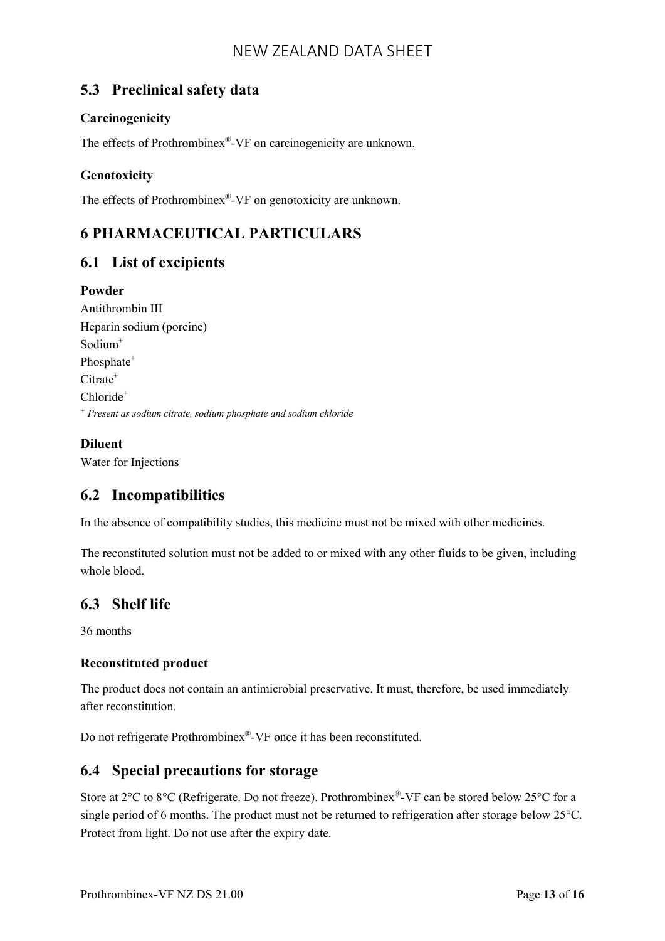## **5.3 Preclinical safety data**

## **Carcinogenicity**

The effects of Prothrombinex®-VF on carcinogenicity are unknown.

## **Genotoxicity**

The effects of Prothrombinex®-VF on genotoxicity are unknown.

# **6 PHARMACEUTICAL PARTICULARS**

## **6.1 List of excipients**

## **Powder**

Antithrombin III Heparin sodium (porcine) Sodium<sup>+</sup> Phosphate<sup>+</sup>  $C$ itrate<sup>+</sup> Chloride<sup>+</sup> *<sup>+</sup> Present as sodium citrate, sodium phosphate and sodium chloride*

## **Diluent**

Water for Injections

# **6.2 Incompatibilities**

In the absence of compatibility studies, this medicine must not be mixed with other medicines.

The reconstituted solution must not be added to or mixed with any other fluids to be given, including whole blood.

## **6.3 Shelf life**

36 months

## **Reconstituted product**

The product does not contain an antimicrobial preservative. It must, therefore, be used immediately after reconstitution.

Do not refrigerate Prothrombinex®-VF once it has been reconstituted.

## **6.4 Special precautions for storage**

Store at 2°C to 8°C (Refrigerate. Do not freeze). Prothrombinex<sup>®</sup>-VF can be stored below 25°C for a single period of 6 months. The product must not be returned to refrigeration after storage below 25°C. Protect from light. Do not use after the expiry date.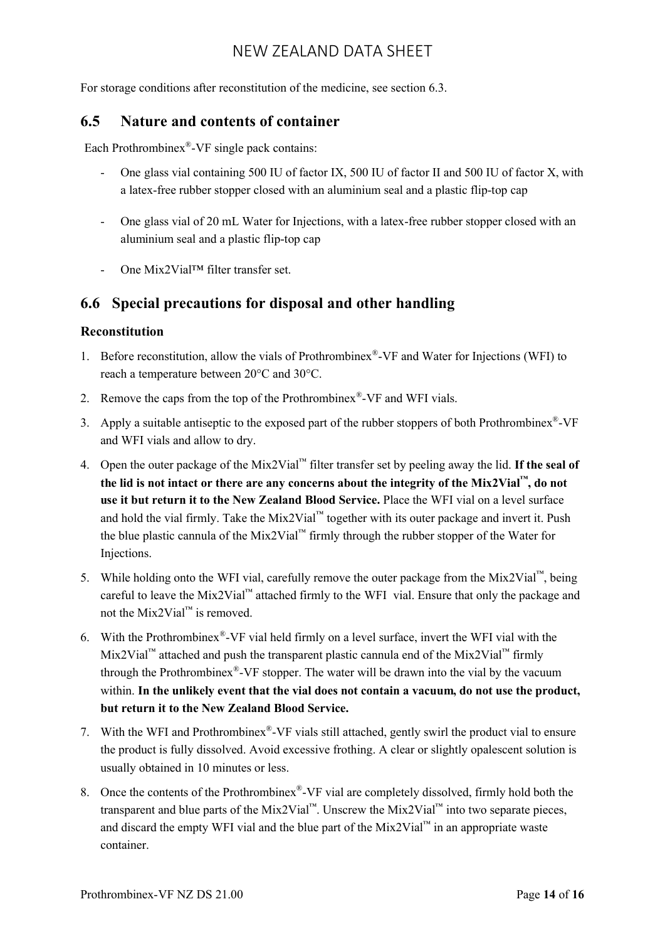For storage conditions after reconstitution of the medicine, see section 6.3.

#### **6.5 Nature and contents of container**

Each Prothrombinex<sup>®</sup>-VF single pack contains:

- One glass vial containing 500 IU of factor IX, 500 IU of factor II and 500 IU of factor X, with a latex-free rubber stopper closed with an aluminium seal and a plastic flip-top cap
- One glass vial of 20 mL Water for Injections, with a latex-free rubber stopper closed with an aluminium seal and a plastic flip-top cap
- One Mix2Vial™ filter transfer set.

## **6.6 Special precautions for disposal and other handling**

#### **Reconstitution**

- 1. Before reconstitution, allow the vials of Prothrombinex® -VF and Water for Injections (WFI) to reach a temperature between 20°C and 30°C.
- 2. Remove the caps from the top of the Prothrombinex<sup>®</sup>-VF and WFI vials.
- 3. Apply a suitable antiseptic to the exposed part of the rubber stoppers of both Prothrombinex $^{\circledast}$ -VF and WFI vials and allow to dry.
- 4. Open the outer package of the Mix2Vial™ filter transfer set by peeling away the lid. **If the seal of the lid is not intact or there are any concerns about the integrity of the Mix2Vial™, do not use it but return it to the New Zealand Blood Service.** Place the WFI vial on a level surface and hold the vial firmly. Take the Mix2Vial<sup>™</sup> together with its outer package and invert it. Push the blue plastic cannula of the Mix2Vial<sup>™</sup> firmly through the rubber stopper of the Water for Injections.
- 5. While holding onto the WFI vial, carefully remove the outer package from the Mix2Vial™, being careful to leave the Mix2Vial™ attached firmly to the WFI vial. Ensure that only the package and not the Mix2Vial<sup>™</sup> is removed.
- 6. With the Prothrombinex® -VF vial held firmly on a level surface, invert the WFI vial with the Mix2Vial<sup>™</sup> attached and push the transparent plastic cannula end of the Mix2Vial<sup>™</sup> firmly through the Prothrombinex<sup>®</sup>-VF stopper. The water will be drawn into the vial by the vacuum within. **In the unlikely event that the vial does not contain a vacuum, do not use the product, but return it to the New Zealand Blood Service.**
- 7. With the WFI and Prothrombinex® -VF vials still attached, gently swirl the product vial to ensure the product is fully dissolved. Avoid excessive frothing. A clear or slightly opalescent solution is usually obtained in 10 minutes or less.
- 8. Once the contents of the Prothrombinex® -VF vial are completely dissolved, firmly hold both the transparent and blue parts of the Mix2Vial™. Unscrew the Mix2Vial™ into two separate pieces, and discard the empty WFI vial and the blue part of the Mix2Vial™ in an appropriate waste container.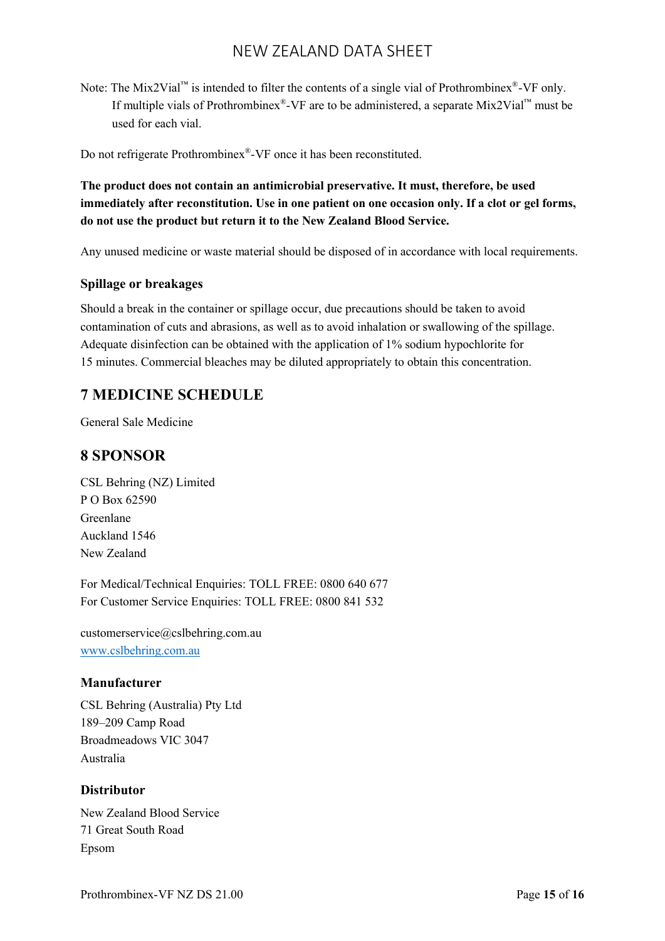Note: The Mix2Vial<sup>™</sup> is intended to filter the contents of a single vial of Prothrombinex<sup>®</sup>-VF only. If multiple vials of Prothrombinex<sup>®</sup>-VF are to be administered, a separate Mix2Vial<sup>™</sup> must be used for each vial.

Do not refrigerate Prothrombinex®-VF once it has been reconstituted.

**The product does not contain an antimicrobial preservative. It must, therefore, be used immediately after reconstitution. Use in one patient on one occasion only. If a clot or gel forms, do not use the product but return it to the New Zealand Blood Service.**

Any unused medicine or waste material should be disposed of in accordance with local requirements.

#### **Spillage or breakages**

Should a break in the container or spillage occur, due precautions should be taken to avoid contamination of cuts and abrasions, as well as to avoid inhalation or swallowing of the spillage. Adequate disinfection can be obtained with the application of 1% sodium hypochlorite for 15 minutes. Commercial bleaches may be diluted appropriately to obtain this concentration.

## **7 MEDICINE SCHEDULE**

General Sale Medicine

## **8 SPONSOR**

CSL Behring (NZ) Limited P O Box 62590 Greenlane Auckland 1546 New Zealand

For Medical/Technical Enquiries: TOLL FREE: 0800 640 677 For Customer Service Enquiries: TOLL FREE: 0800 841 532

customerservice@cslbehring.com.au [www.cslbehring.com.au](http://www.cslbehring.com.au/)

#### **Manufacturer**

CSL Behring (Australia) Pty Ltd 189–209 Camp Road Broadmeadows VIC 3047 Australia

#### **Distributor**

New Zealand Blood Service 71 Great South Road Epsom